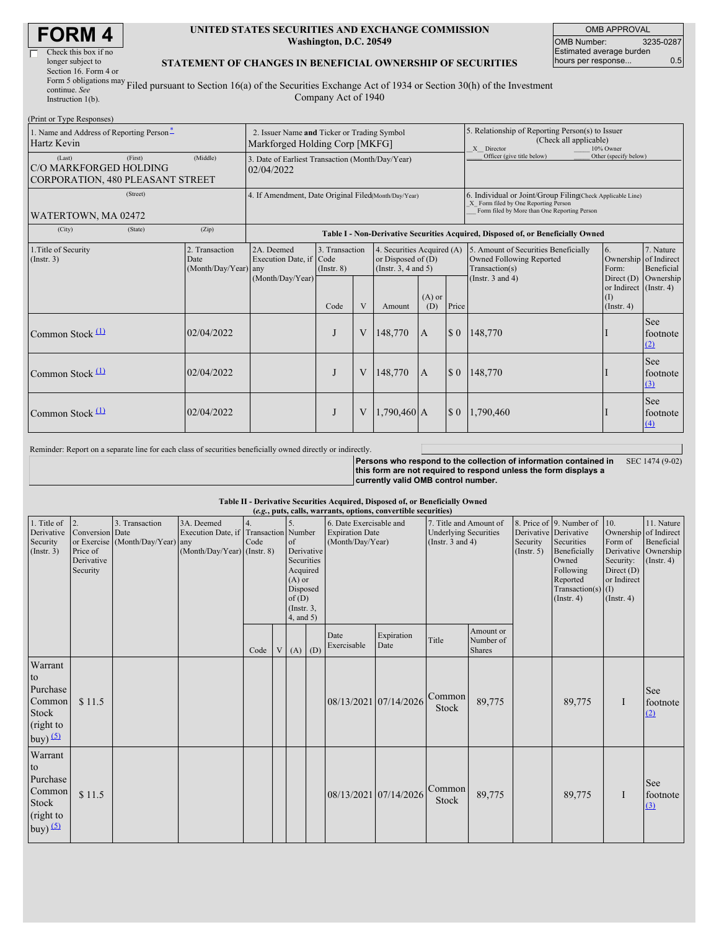| <b>FORM4</b> |  |
|--------------|--|
|--------------|--|

| Check this box if no                   |
|----------------------------------------|
| longer subject to                      |
| Section 16. Form 4 or                  |
| Form 5 obligations may $_{\text{F}_1}$ |
| continue. See                          |
| $L$ aturration $1/L$                   |

#### **UNITED STATES SECURITIES AND EXCHANGE COMMISSION Washington, D.C. 20549**

OMB APPROVAL OMB Number: 3235-0287 Estimated average burden hours per response... 0.5

### **STATEMENT OF CHANGES IN BENEFICIAL OWNERSHIP OF SECURITIES**

Instruction 1(b). Filed pursuant to Section 16(a) of the Securities Exchange Act of 1934 or Section 30(h) of the Investment Company Act of 1940

| (Print or Type Responses)                                                              |                                                                                                                                                                                                           |                                                                |                                                                                  |                                                                                                             |                                                      |                                                                                                                                                    |             |                            |                                                   |                                            |
|----------------------------------------------------------------------------------------|-----------------------------------------------------------------------------------------------------------------------------------------------------------------------------------------------------------|----------------------------------------------------------------|----------------------------------------------------------------------------------|-------------------------------------------------------------------------------------------------------------|------------------------------------------------------|----------------------------------------------------------------------------------------------------------------------------------------------------|-------------|----------------------------|---------------------------------------------------|--------------------------------------------|
| 1. Name and Address of Reporting Person-<br>Hartz Kevin                                | 2. Issuer Name and Ticker or Trading Symbol<br>Markforged Holding Corp [MKFG]                                                                                                                             |                                                                |                                                                                  |                                                                                                             |                                                      | 5. Relationship of Reporting Person(s) to Issuer<br>(Check all applicable)<br>10% Owner<br>X Director                                              |             |                            |                                                   |                                            |
| (First)<br>(Last)<br>C/O MARKFORGED HOLDING<br><b>CORPORATION, 480 PLEASANT STREET</b> | (Middle)                                                                                                                                                                                                  | 3. Date of Earliest Transaction (Month/Day/Year)<br>02/04/2022 |                                                                                  |                                                                                                             |                                                      |                                                                                                                                                    |             | Officer (give title below) | Other (specify below)                             |                                            |
| (Street)<br>WATERTOWN, MA 02472                                                        | 4. If Amendment, Date Original Filed(Month/Day/Year)                                                                                                                                                      |                                                                |                                                                                  |                                                                                                             |                                                      | 6. Individual or Joint/Group Filing Check Applicable Line)<br>X Form filed by One Reporting Person<br>Form filed by More than One Reporting Person |             |                            |                                                   |                                            |
| (City)<br>(State)                                                                      | (Zip)                                                                                                                                                                                                     |                                                                | Table I - Non-Derivative Securities Acquired, Disposed of, or Beneficially Owned |                                                                                                             |                                                      |                                                                                                                                                    |             |                            |                                                   |                                            |
| 1. Title of Security<br>$($ Instr. 3 $)$                                               | 3. Transaction<br>2. Transaction<br>2A. Deemed<br>4. Securities Acquired (A)<br>Execution Date, if Code<br>or Disposed of $(D)$<br>Date<br>(Month/Day/Year) any<br>(Instr. 3, 4 and 5)<br>$($ Instr. $8)$ |                                                                |                                                                                  | 5. Amount of Securities Beneficially<br>Owned Following Reported<br>Transaction(s)<br>(Instr. $3$ and $4$ ) | 6.<br>Ownership of Indirect<br>Form:<br>Direct $(D)$ | 7. Nature<br>Beneficial                                                                                                                            |             |                            |                                                   |                                            |
|                                                                                        |                                                                                                                                                                                                           | (Month/Day/Year)                                               | Code                                                                             | V                                                                                                           | Amount                                               | $(A)$ or<br>(D)                                                                                                                                    | Price       |                            | or Indirect (Instr. 4)<br>(1)<br>$($ Instr. 4 $)$ | Ownership                                  |
| Common Stock $(1)$                                                                     | 02/04/2022                                                                                                                                                                                                |                                                                |                                                                                  | V                                                                                                           | 148,770                                              | <b>IA</b>                                                                                                                                          |             | \$ 0   148,770             |                                                   | See<br>footnote<br>(2)                     |
| Common Stock $(1)$                                                                     | 02/04/2022                                                                                                                                                                                                |                                                                |                                                                                  | V                                                                                                           | 148,770                                              | $\overline{A}$                                                                                                                                     | $\sqrt{50}$ | 148,770                    |                                                   | <b>See</b><br>footnote<br>$\left(3\right)$ |
| Common Stock $(1)$                                                                     | 02/04/2022                                                                                                                                                                                                |                                                                |                                                                                  | V                                                                                                           | $1,790,460$ A                                        |                                                                                                                                                    |             | $$0$   1,790,460           |                                                   | See<br>footnote<br>$\left(4\right)$        |

Reminder: Report on a separate line for each class of securities beneficially owned directly or indirectly.

**Persons who respond to the collection of information contained in this form are not required to respond unless the form displays a currently valid OMB control number.** SEC 1474 (9-02)

### **Table II - Derivative Securities Acquired, Disposed of, or Beneficially Owned**

| (e.g., puts, calls, warrants, options, convertible securities) |                 |                                  |                                       |      |   |                      |  |                         |            |                              |               |                       |                          |                           |                  |
|----------------------------------------------------------------|-----------------|----------------------------------|---------------------------------------|------|---|----------------------|--|-------------------------|------------|------------------------------|---------------|-----------------------|--------------------------|---------------------------|------------------|
| 1. Title of                                                    | 2.              | 3. Transaction                   | 3A. Deemed                            |      |   |                      |  | 6. Date Exercisable and |            | 7. Title and Amount of       |               |                       | 8. Price of 9. Number of | 10.                       | 11. Nature       |
| Derivative                                                     | Conversion Date |                                  | Execution Date, if Transaction Number |      |   |                      |  | <b>Expiration Date</b>  |            | <b>Underlying Securities</b> |               | Derivative Derivative |                          | Ownership                 | of Indirect      |
| Security                                                       |                 | or Exercise (Month/Day/Year) any |                                       | Code |   | of                   |  | (Month/Day/Year)        |            | (Instr. $3$ and $4$ )        |               | Security              | Securities               | Form of                   | Beneficial       |
| $($ Instr. 3 $)$                                               | Price of        |                                  | (Month/Day/Year) (Instr. 8)           |      |   | Derivative           |  |                         |            |                              |               | (Insert. 5)           | Beneficially             | Derivative                | Ownership        |
|                                                                | Derivative      |                                  |                                       |      |   | Securities           |  |                         |            |                              |               |                       | Owned                    | Security:                 | $($ Instr. 4 $)$ |
|                                                                | Security        |                                  |                                       |      |   | Acquired<br>$(A)$ or |  |                         |            |                              |               |                       | Following<br>Reported    | Direct (D)<br>or Indirect |                  |
|                                                                |                 |                                  |                                       |      |   | Disposed             |  |                         |            |                              |               |                       | Transaction(s) $(I)$     |                           |                  |
|                                                                |                 |                                  |                                       |      |   | of(D)                |  |                         |            |                              |               |                       | $($ Instr. 4 $)$         | $($ Instr. 4 $)$          |                  |
|                                                                |                 |                                  |                                       |      |   | $($ Instr. $3,$      |  |                         |            |                              |               |                       |                          |                           |                  |
|                                                                |                 |                                  |                                       |      |   | $4$ , and $5$ )      |  |                         |            |                              |               |                       |                          |                           |                  |
|                                                                |                 |                                  |                                       |      |   |                      |  | Date                    | Expiration |                              | Amount or     |                       |                          |                           |                  |
|                                                                |                 |                                  |                                       |      |   |                      |  | Exercisable             | Date       | Title                        | Number of     |                       |                          |                           |                  |
|                                                                |                 |                                  |                                       | Code | V | $(A)$ $(D)$          |  |                         |            |                              | <b>Shares</b> |                       |                          |                           |                  |
| Warrant                                                        |                 |                                  |                                       |      |   |                      |  |                         |            |                              |               |                       |                          |                           |                  |
| to                                                             |                 |                                  |                                       |      |   |                      |  |                         |            |                              |               |                       |                          |                           |                  |
| Purchase                                                       |                 |                                  |                                       |      |   |                      |  |                         |            |                              |               |                       |                          |                           | See              |
| Common                                                         | \$11.5          |                                  |                                       |      |   |                      |  | 08/13/2021 07/14/2026   |            | Common                       | 89,775        |                       | 89,775                   | $\bf{I}$                  | footnote         |
| Stock                                                          |                 |                                  |                                       |      |   |                      |  |                         |            | Stock                        |               |                       |                          |                           | (2)              |
| (right to                                                      |                 |                                  |                                       |      |   |                      |  |                         |            |                              |               |                       |                          |                           |                  |
| buy) $(5)$                                                     |                 |                                  |                                       |      |   |                      |  |                         |            |                              |               |                       |                          |                           |                  |
|                                                                |                 |                                  |                                       |      |   |                      |  |                         |            |                              |               |                       |                          |                           |                  |
| Warrant                                                        |                 |                                  |                                       |      |   |                      |  |                         |            |                              |               |                       |                          |                           |                  |
| to                                                             |                 |                                  |                                       |      |   |                      |  |                         |            |                              |               |                       |                          |                           |                  |
| Purchase                                                       |                 |                                  |                                       |      |   |                      |  |                         |            |                              |               |                       |                          |                           | See              |
| Common                                                         |                 |                                  |                                       |      |   |                      |  | 08/13/2021 07/14/2026   |            | Common                       |               |                       |                          |                           | footnote         |
| Stock                                                          | \$11.5          |                                  |                                       |      |   |                      |  |                         |            | Stock                        | 89,775        |                       | 89,775                   | $\bf{I}$                  |                  |
| (right to                                                      |                 |                                  |                                       |      |   |                      |  |                         |            |                              |               |                       |                          |                           | (3)              |
|                                                                |                 |                                  |                                       |      |   |                      |  |                         |            |                              |               |                       |                          |                           |                  |
| buy) $(5)$                                                     |                 |                                  |                                       |      |   |                      |  |                         |            |                              |               |                       |                          |                           |                  |